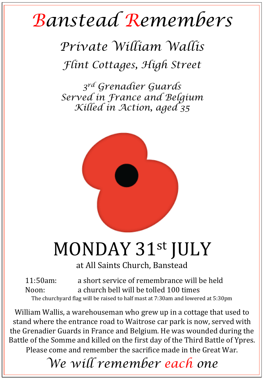## *Banstead Remembers*

*Private William Wallis Flint Cottages, High Street* 

*3rd Grenadier Guards Served in France and Belgium Killed in Action, aged 35* 



## MONDAY 31st JULY

at All Saints Church, Banstead

11:50am: a short service of remembrance will be held Noon: a church bell will be tolled 100 times The churchyard flag will be raised to half mast at 7:30am and lowered at 5:30pm

William Wallis, a warehouseman who grew up in a cottage that used to stand where the entrance road to Waitrose car park is now, served with the Grenadier Guards in France and Belgium. He was wounded during the Battle of the Somme and killed on the first day of the Third Battle of Ypres. Please come and remember the sacrifice made in the Great War.

*We will remember each one*